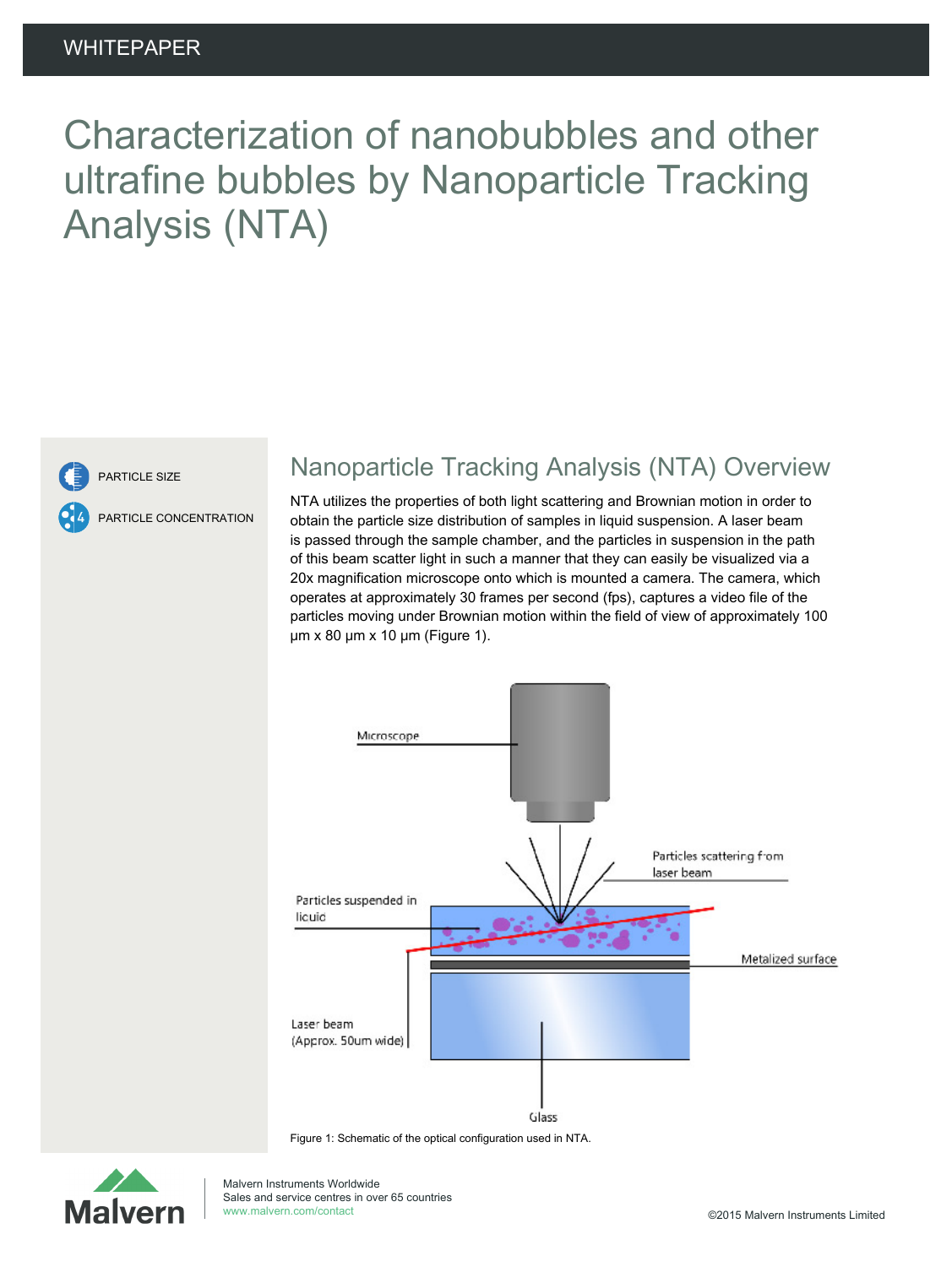# Characterization of nanobubbles and other ultrafine bubbles by Nanoparticle Tracking Analysis (NTA)



PARTICLE SIZE

PARTICLE CONCENTRATION

### Nanoparticle Tracking Analysis (NTA) Overview

NTA utilizes the properties of both light scattering and Brownian motion in order to obtain the particle size distribution of samples in liquid suspension. A laser beam is passed through the sample chamber, and the particles in suspension in the path of this beam scatter light in such a manner that they can easily be visualized via a 20x magnification microscope onto which is mounted a camera. The camera, which operates at approximately 30 frames per second (fps), captures a video file of the particles moving under Brownian motion within the field of view of approximately 100 μm x 80 μm x 10 μm (Figure 1).



Figure 1: Schematic of the optical configuration used in NTA.

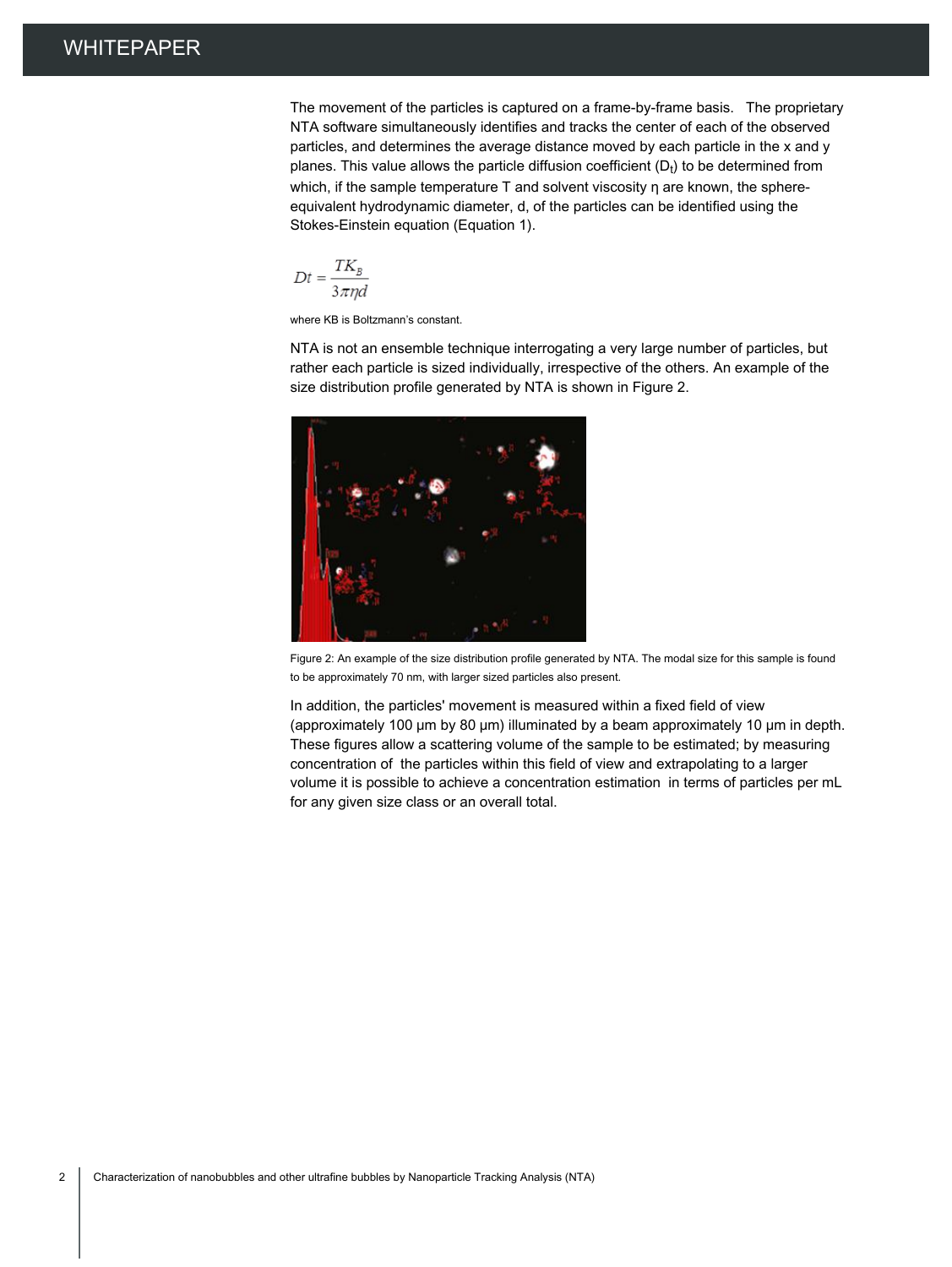The movement of the particles is captured on a frame-by-frame basis. The proprietary NTA software simultaneously identifies and tracks the center of each of the observed particles, and determines the average distance moved by each particle in the x and y planes. This value allows the particle diffusion coefficient ( $D_t$ ) to be determined from which, if the sample temperature T and solvent viscosity η are known, the sphereequivalent hydrodynamic diameter, d, of the particles can be identified using the Stokes-Einstein equation (Equation 1).

$$
Dt = \frac{TK_B}{3\pi nd}
$$

where KB is Boltzmann's constant.

NTA is not an ensemble technique interrogating a very large number of particles, but rather each particle is sized individually, irrespective of the others. An example of the size distribution profile generated by NTA is shown in Figure 2.



Figure 2: An example of the size distribution profile generated by NTA. The modal size for this sample is found to be approximately 70 nm, with larger sized particles also present.

In addition, the particles' movement is measured within a fixed field of view (approximately 100 μm by 80 μm) illuminated by a beam approximately 10 μm in depth. These figures allow a scattering volume of the sample to be estimated; by measuring concentration of the particles within this field of view and extrapolating to a larger volume it is possible to achieve a concentration estimation in terms of particles per mL for any given size class or an overall total.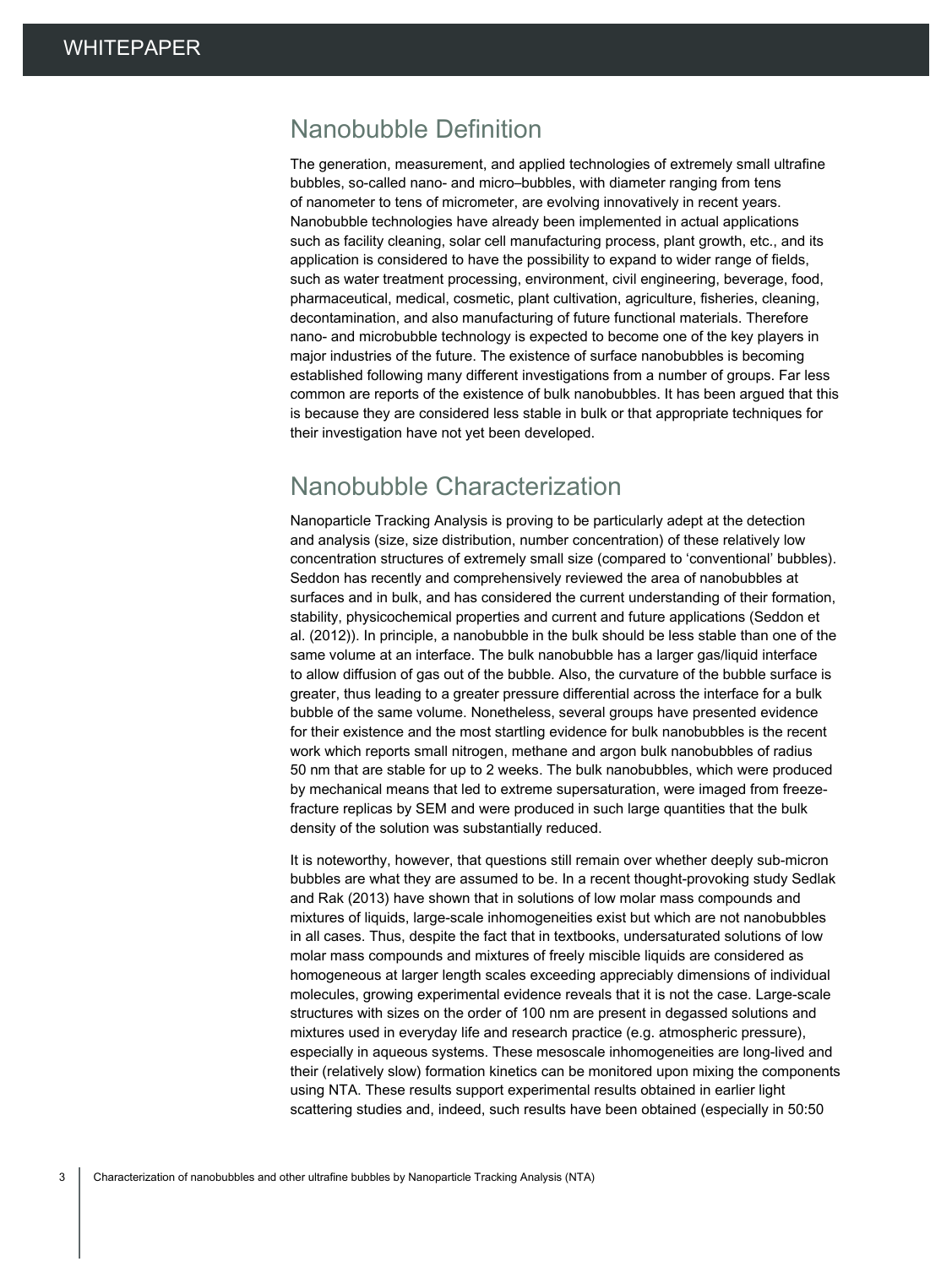#### Nanobubble Definition

The generation, measurement, and applied technologies of extremely small ultrafine bubbles, so-called nano- and micro–bubbles, with diameter ranging from tens of nanometer to tens of micrometer, are evolving innovatively in recent years. Nanobubble technologies have already been implemented in actual applications such as facility cleaning, solar cell manufacturing process, plant growth, etc., and its application is considered to have the possibility to expand to wider range of fields, such as water treatment processing, environment, civil engineering, beverage, food, pharmaceutical, medical, cosmetic, plant cultivation, agriculture, fisheries, cleaning, decontamination, and also manufacturing of future functional materials. Therefore nano- and microbubble technology is expected to become one of the key players in major industries of the future. The existence of surface nanobubbles is becoming established following many different investigations from a number of groups. Far less common are reports of the existence of bulk nanobubbles. It has been argued that this is because they are considered less stable in bulk or that appropriate techniques for their investigation have not yet been developed.

#### Nanobubble Characterization

Nanoparticle Tracking Analysis is proving to be particularly adept at the detection and analysis (size, size distribution, number concentration) of these relatively low concentration structures of extremely small size (compared to 'conventional' bubbles). Seddon has recently and comprehensively reviewed the area of nanobubbles at surfaces and in bulk, and has considered the current understanding of their formation, stability, physicochemical properties and current and future applications (Seddon et al. (2012)). In principle, a nanobubble in the bulk should be less stable than one of the same volume at an interface. The bulk nanobubble has a larger gas/liquid interface to allow diffusion of gas out of the bubble. Also, the curvature of the bubble surface is greater, thus leading to a greater pressure differential across the interface for a bulk bubble of the same volume. Nonetheless, several groups have presented evidence for their existence and the most startling evidence for bulk nanobubbles is the recent work which reports small nitrogen, methane and argon bulk nanobubbles of radius 50 nm that are stable for up to 2 weeks. The bulk nanobubbles, which were produced by mechanical means that led to extreme supersaturation, were imaged from freezefracture replicas by SEM and were produced in such large quantities that the bulk density of the solution was substantially reduced.

It is noteworthy, however, that questions still remain over whether deeply sub-micron bubbles are what they are assumed to be. In a recent thought-provoking study Sedlak and Rak (2013) have shown that in solutions of low molar mass compounds and mixtures of liquids, large-scale inhomogeneities exist but which are not nanobubbles in all cases. Thus, despite the fact that in textbooks, undersaturated solutions of low molar mass compounds and mixtures of freely miscible liquids are considered as homogeneous at larger length scales exceeding appreciably dimensions of individual molecules, growing experimental evidence reveals that it is not the case. Large-scale structures with sizes on the order of 100 nm are present in degassed solutions and mixtures used in everyday life and research practice (e.g. atmospheric pressure), especially in aqueous systems. These mesoscale inhomogeneities are long-lived and their (relatively slow) formation kinetics can be monitored upon mixing the components using NTA. These results support experimental results obtained in earlier light scattering studies and, indeed, such results have been obtained (especially in 50:50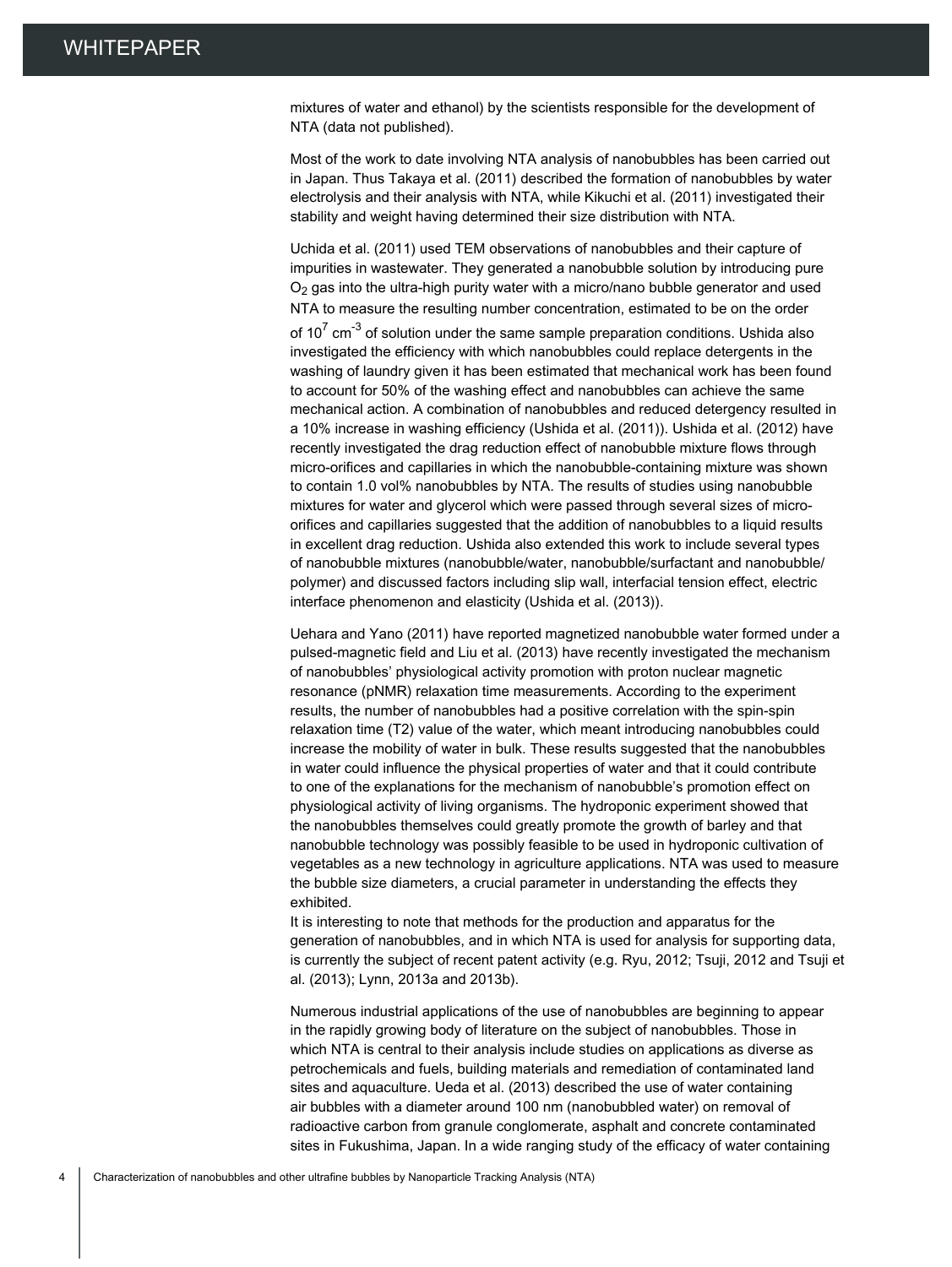mixtures of water and ethanol) by the scientists responsible for the development of NTA (data not published).

Most of the work to date involving NTA analysis of nanobubbles has been carried out in Japan. Thus Takaya et al. (2011) described the formation of nanobubbles by water electrolysis and their analysis with NTA, while Kikuchi et al. (2011) investigated their stability and weight having determined their size distribution with NTA.

Uchida et al. (2011) used TEM observations of nanobubbles and their capture of impurities in wastewater. They generated a nanobubble solution by introducing pure  $O<sub>2</sub>$  gas into the ultra-high purity water with a micro/nano bubble generator and used NTA to measure the resulting number concentration, estimated to be on the order of 10<sup>7</sup> cm<sup>-3</sup> of solution under the same sample preparation conditions. Ushida also investigated the efficiency with which nanobubbles could replace detergents in the washing of laundry given it has been estimated that mechanical work has been found to account for 50% of the washing effect and nanobubbles can achieve the same mechanical action. A combination of nanobubbles and reduced detergency resulted in a 10% increase in washing efficiency (Ushida et al. (2011)). Ushida et al. (2012) have recently investigated the drag reduction effect of nanobubble mixture flows through micro-orifices and capillaries in which the nanobubble-containing mixture was shown to contain 1.0 vol% nanobubbles by NTA. The results of studies using nanobubble mixtures for water and glycerol which were passed through several sizes of microorifices and capillaries suggested that the addition of nanobubbles to a liquid results in excellent drag reduction. Ushida also extended this work to include several types of nanobubble mixtures (nanobubble/water, nanobubble/surfactant and nanobubble/ polymer) and discussed factors including slip wall, interfacial tension effect, electric interface phenomenon and elasticity (Ushida et al. (2013)).

Uehara and Yano (2011) have reported magnetized nanobubble water formed under a pulsed-magnetic field and Liu et al. (2013) have recently investigated the mechanism of nanobubbles' physiological activity promotion with proton nuclear magnetic resonance (pNMR) relaxation time measurements. According to the experiment results, the number of nanobubbles had a positive correlation with the spin-spin relaxation time (T2) value of the water, which meant introducing nanobubbles could increase the mobility of water in bulk. These results suggested that the nanobubbles in water could influence the physical properties of water and that it could contribute to one of the explanations for the mechanism of nanobubble's promotion effect on physiological activity of living organisms. The hydroponic experiment showed that the nanobubbles themselves could greatly promote the growth of barley and that nanobubble technology was possibly feasible to be used in hydroponic cultivation of vegetables as a new technology in agriculture applications. NTA was used to measure the bubble size diameters, a crucial parameter in understanding the effects they exhibited.

It is interesting to note that methods for the production and apparatus for the generation of nanobubbles, and in which NTA is used for analysis for supporting data, is currently the subject of recent patent activity (e.g. Ryu, 2012; Tsuji, 2012 and Tsuji et al. (2013); Lynn, 2013a and 2013b).

Numerous industrial applications of the use of nanobubbles are beginning to appear in the rapidly growing body of literature on the subject of nanobubbles. Those in which NTA is central to their analysis include studies on applications as diverse as petrochemicals and fuels, building materials and remediation of contaminated land sites and aquaculture. Ueda et al. (2013) described the use of water containing air bubbles with a diameter around 100 nm (nanobubbled water) on removal of radioactive carbon from granule conglomerate, asphalt and concrete contaminated sites in Fukushima, Japan. In a wide ranging study of the efficacy of water containing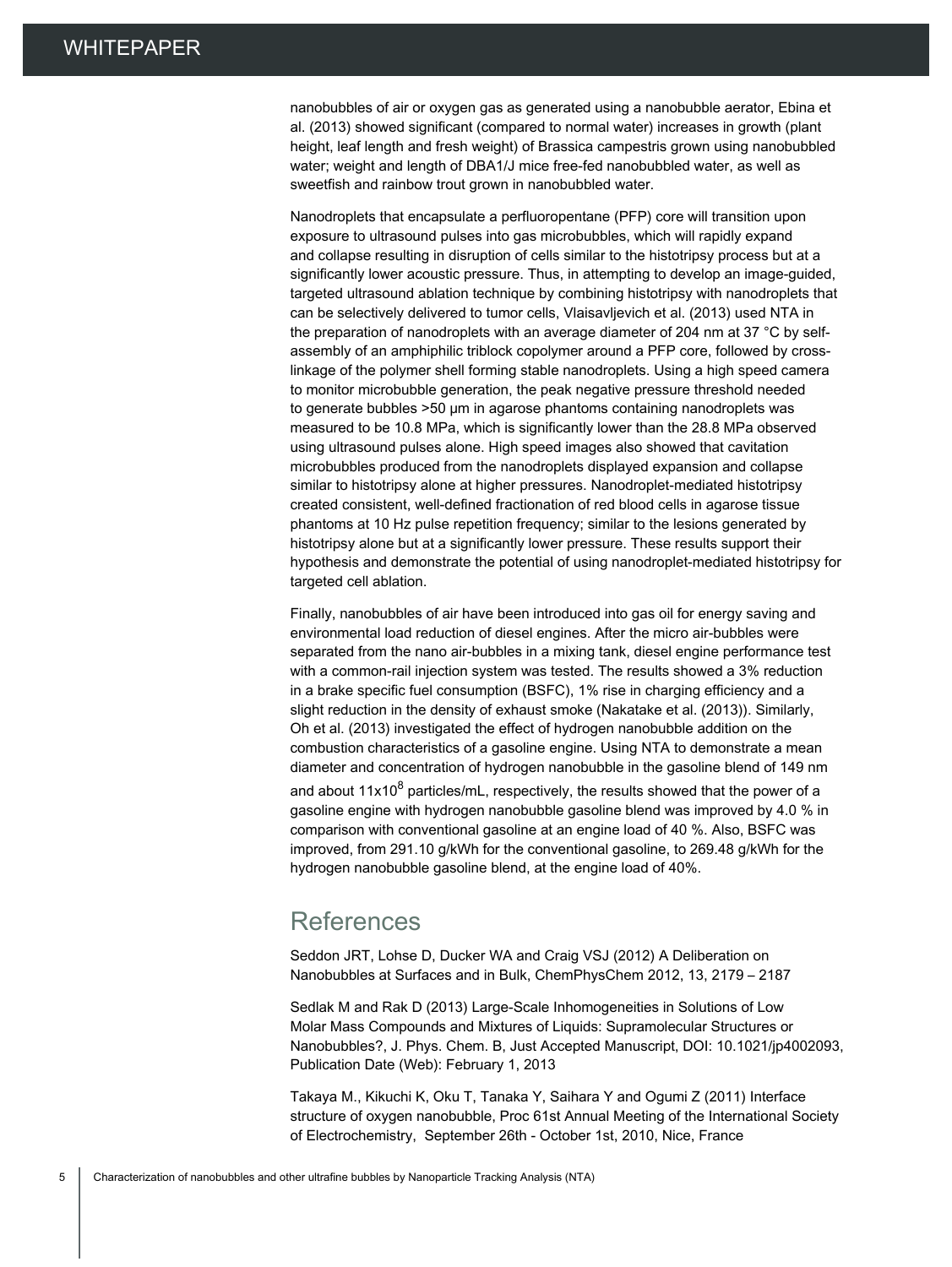nanobubbles of air or oxygen gas as generated using a nanobubble aerator, Ebina et al. (2013) showed significant (compared to normal water) increases in growth (plant height, leaf length and fresh weight) of Brassica campestris grown using nanobubbled water; weight and length of DBA1/J mice free-fed nanobubbled water, as well as sweetfish and rainbow trout grown in nanobubbled water.

Nanodroplets that encapsulate a perfluoropentane (PFP) core will transition upon exposure to ultrasound pulses into gas microbubbles, which will rapidly expand and collapse resulting in disruption of cells similar to the histotripsy process but at a significantly lower acoustic pressure. Thus, in attempting to develop an image-guided, targeted ultrasound ablation technique by combining histotripsy with nanodroplets that can be selectively delivered to tumor cells, Vlaisavljevich et al. (2013) used NTA in the preparation of nanodroplets with an average diameter of 204 nm at 37 °C by selfassembly of an amphiphilic triblock copolymer around a PFP core, followed by crosslinkage of the polymer shell forming stable nanodroplets. Using a high speed camera to monitor microbubble generation, the peak negative pressure threshold needed to generate bubbles >50 μm in agarose phantoms containing nanodroplets was measured to be 10.8 MPa, which is significantly lower than the 28.8 MPa observed using ultrasound pulses alone. High speed images also showed that cavitation microbubbles produced from the nanodroplets displayed expansion and collapse similar to histotripsy alone at higher pressures. Nanodroplet-mediated histotripsy created consistent, well-defined fractionation of red blood cells in agarose tissue phantoms at 10 Hz pulse repetition frequency; similar to the lesions generated by histotripsy alone but at a significantly lower pressure. These results support their hypothesis and demonstrate the potential of using nanodroplet-mediated histotripsy for targeted cell ablation.

Finally, nanobubbles of air have been introduced into gas oil for energy saving and environmental load reduction of diesel engines. After the micro air-bubbles were separated from the nano air-bubbles in a mixing tank, diesel engine performance test with a common-rail injection system was tested. The results showed a 3% reduction in a brake specific fuel consumption (BSFC), 1% rise in charging efficiency and a slight reduction in the density of exhaust smoke (Nakatake et al. (2013)). Similarly, Oh et al. (2013) investigated the effect of hydrogen nanobubble addition on the combustion characteristics of a gasoline engine. Using NTA to demonstrate a mean diameter and concentration of hydrogen nanobubble in the gasoline blend of 149 nm and about 11x10 $^8$  particles/mL, respectively, the results showed that the power of a gasoline engine with hydrogen nanobubble gasoline blend was improved by 4.0 % in comparison with conventional gasoline at an engine load of 40 %. Also, BSFC was improved, from 291.10 g/kWh for the conventional gasoline, to 269.48 g/kWh for the hydrogen nanobubble gasoline blend, at the engine load of 40%.

#### References

Seddon JRT, Lohse D, Ducker WA and Craig VSJ (2012) A Deliberation on Nanobubbles at Surfaces and in Bulk, ChemPhysChem 2012, 13, 2179 – 2187

Sedlak M and Rak D (2013) Large-Scale Inhomogeneities in Solutions of Low Molar Mass Compounds and Mixtures of Liquids: Supramolecular Structures or Nanobubbles?, J. Phys. Chem. B, Just Accepted Manuscript, DOI: 10.1021/jp4002093, Publication Date (Web): February 1, 2013

Takaya M., Kikuchi K, Oku T, Tanaka Y, Saihara Y and Ogumi Z (2011) Interface structure of oxygen nanobubble, Proc 61st Annual Meeting of the International Society of Electrochemistry, September 26th - October 1st, 2010, Nice, France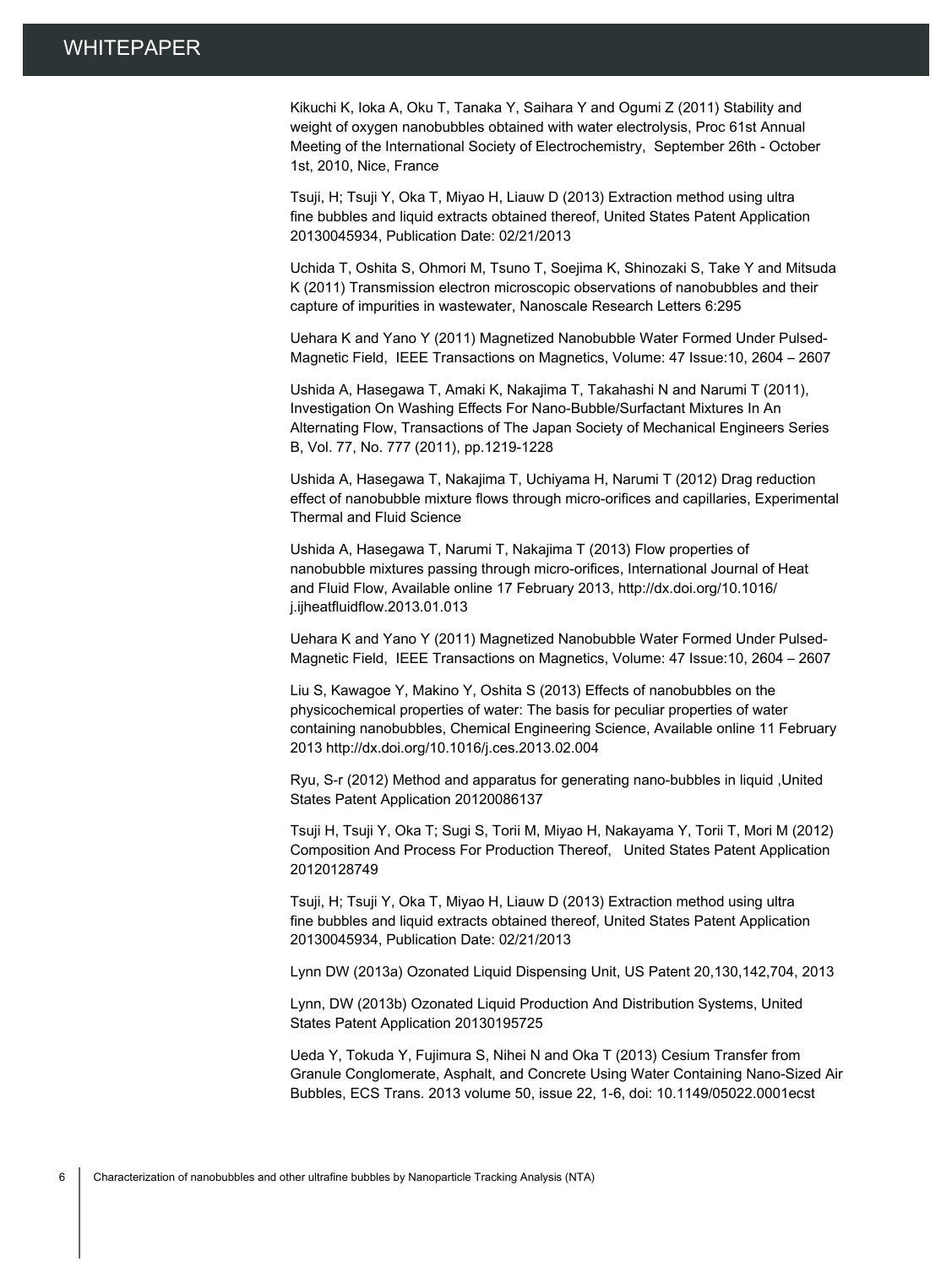Kikuchi K, Ioka A, Oku T, Tanaka Y, Saihara Y and Ogumi Z (2011) Stability and weight of oxygen nanobubbles obtained with water electrolysis, Proc 61st Annual Meeting of the International Society of Electrochemistry, September 26th - October 1st, 2010, Nice, France

Tsuji, H; Tsuji Y, Oka T, Miyao H, Liauw D (2013) Extraction method using ultra fine bubbles and liquid extracts obtained thereof, United States Patent Application 20130045934, Publication Date: 02/21/2013

Uchida T, Oshita S, Ohmori M, Tsuno T, Soejima K, Shinozaki S, Take Y and Mitsuda K (2011) Transmission electron microscopic observations of nanobubbles and their capture of impurities in wastewater, Nanoscale Research Letters 6:295

Uehara K and Yano Y (2011) Magnetized Nanobubble Water Formed Under Pulsed-Magnetic Field, IEEE Transactions on Magnetics, Volume: 47 Issue:10, 2604 – 2607

Ushida A, Hasegawa T, Amaki K, Nakajima T, Takahashi N and Narumi T (2011), Investigation On Washing Effects For Nano-Bubble/Surfactant Mixtures In An Alternating Flow, Transactions of The Japan Society of Mechanical Engineers Series B, Vol. 77, No. 777 (2011), pp.1219-1228

Ushida A, Hasegawa T, Nakajima T, Uchiyama H, Narumi T (2012) Drag reduction effect of nanobubble mixture flows through micro-orifices and capillaries, Experimental Thermal and Fluid Science

Ushida A, Hasegawa T, Narumi T, Nakajima T (2013) Flow properties of nanobubble mixtures passing through micro-orifices, International Journal of Heat and Fluid Flow, Available online 17 February 2013, http://dx.doi.org/10.1016/ j.ijheatfluidflow.2013.01.013

Uehara K and Yano Y (2011) Magnetized Nanobubble Water Formed Under Pulsed-Magnetic Field, IEEE Transactions on Magnetics, Volume: 47 Issue:10, 2604 – 2607

Liu S, Kawagoe Y, Makino Y, Oshita S (2013) Effects of nanobubbles on the physicochemical properties of water: The basis for peculiar properties of water containing nanobubbles, Chemical Engineering Science, Available online 11 February 2013 http://dx.doi.org/10.1016/j.ces.2013.02.004

Ryu, S-r (2012) Method and apparatus for generating nano-bubbles in liquid ,United States Patent Application 20120086137

Tsuji H, Tsuji Y, Oka T; Sugi S, Torii M, Miyao H, Nakayama Y, Torii T, Mori M (2012) Composition And Process For Production Thereof, United States Patent Application 20120128749

Tsuji, H; Tsuji Y, Oka T, Miyao H, Liauw D (2013) Extraction method using ultra fine bubbles and liquid extracts obtained thereof, United States Patent Application 20130045934, Publication Date: 02/21/2013

Lynn DW (2013a) Ozonated Liquid Dispensing Unit, US Patent 20,130,142,704, 2013

Lynn, DW (2013b) Ozonated Liquid Production And Distribution Systems, United States Patent Application 20130195725

Ueda Y, Tokuda Y, Fujimura S, Nihei N and Oka T (2013) Cesium Transfer from Granule Conglomerate, Asphalt, and Concrete Using Water Containing Nano-Sized Air Bubbles, ECS Trans. 2013 volume 50, issue 22, 1-6, doi: 10.1149/05022.0001ecst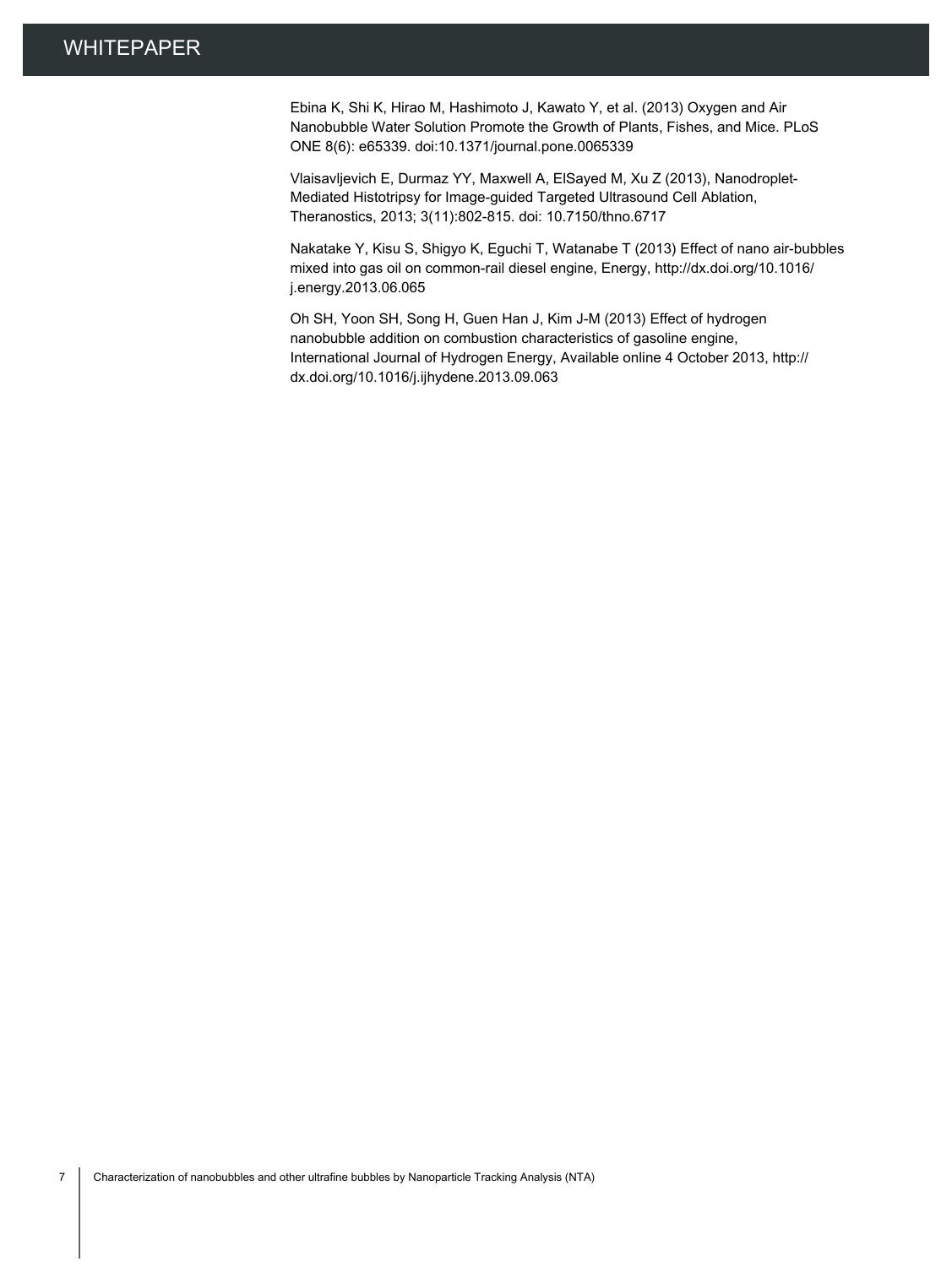Ebina K, Shi K, Hirao M, Hashimoto J, Kawato Y, et al. (2013) Oxygen and Air Nanobubble Water Solution Promote the Growth of Plants, Fishes, and Mice. PLoS ONE 8(6): e65339. doi:10.1371/journal.pone.0065339

Vlaisavljevich E, Durmaz YY, Maxwell A, ElSayed M, Xu Z (2013), Nanodroplet-Mediated Histotripsy for Image-guided Targeted Ultrasound Cell Ablation, Theranostics, 2013; 3(11):802-815. doi: 10.7150/thno.6717

Nakatake Y, Kisu S, Shigyo K, Eguchi T, Watanabe T (2013) Effect of nano air-bubbles mixed into gas oil on common-rail diesel engine, Energy, http://dx.doi.org/10.1016/ j.energy.2013.06.065

Oh SH, Yoon SH, Song H, Guen Han J, Kim J-M (2013) Effect of hydrogen nanobubble addition on combustion characteristics of gasoline engine, International Journal of Hydrogen Energy, Available online 4 October 2013, http:// dx.doi.org/10.1016/j.ijhydene.2013.09.063